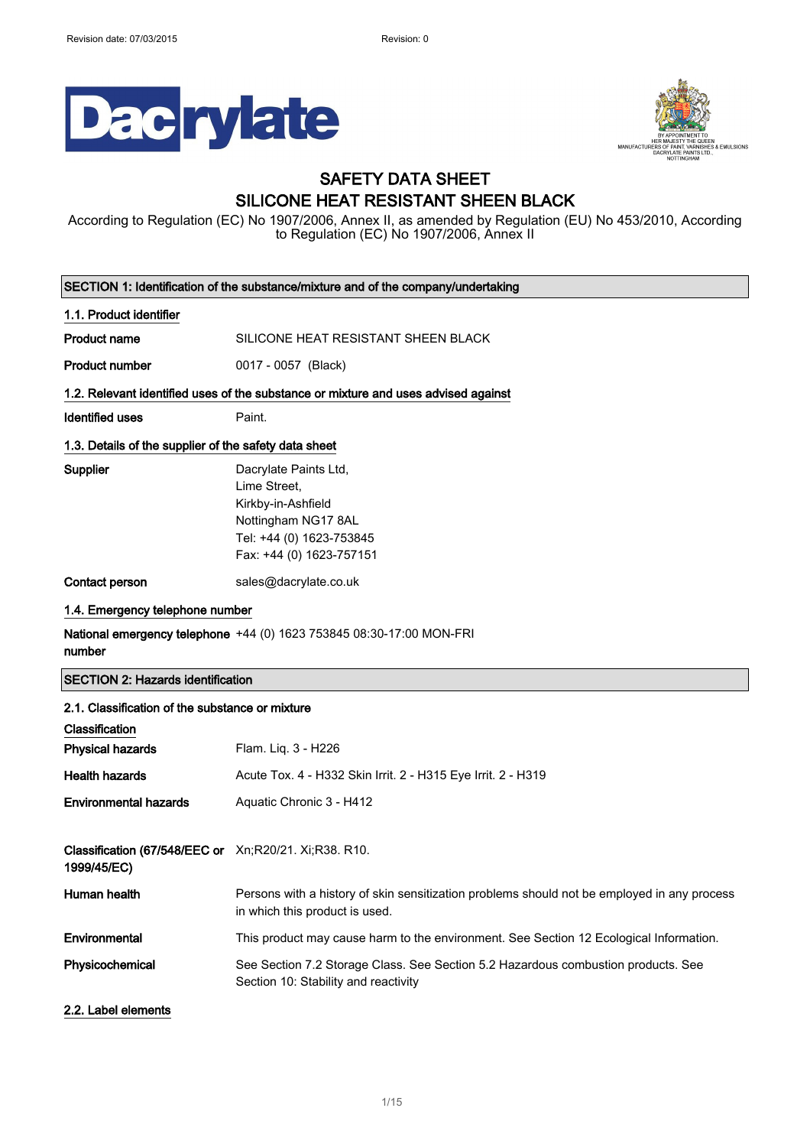



## SAFETY DATA SHEET SILICONE HEAT RESISTANT SHEEN BLACK

According to Regulation (EC) No 1907/2006, Annex II, as amended by Regulation (EU) No 453/2010, According to Regulation (EC) No 1907/2006, Annex II

| SECTION 1: Identification of the substance/mixture and of the company/undertaking |                                                                                                                                            |  |
|-----------------------------------------------------------------------------------|--------------------------------------------------------------------------------------------------------------------------------------------|--|
| 1.1. Product identifier                                                           |                                                                                                                                            |  |
| <b>Product name</b>                                                               | SILICONE HEAT RESISTANT SHEEN BLACK                                                                                                        |  |
| <b>Product number</b>                                                             | 0017 - 0057 (Black)                                                                                                                        |  |
|                                                                                   | 1.2. Relevant identified uses of the substance or mixture and uses advised against                                                         |  |
| <b>Identified uses</b>                                                            | Paint.                                                                                                                                     |  |
| 1.3. Details of the supplier of the safety data sheet                             |                                                                                                                                            |  |
| <b>Supplier</b>                                                                   | Dacrylate Paints Ltd,<br>Lime Street,<br>Kirkby-in-Ashfield<br>Nottingham NG17 8AL<br>Tel: +44 (0) 1623-753845<br>Fax: +44 (0) 1623-757151 |  |
| Contact person                                                                    | sales@dacrylate.co.uk                                                                                                                      |  |
| 1.4. Emergency telephone number                                                   |                                                                                                                                            |  |
| number                                                                            | <b>National emergency telephone</b> +44 (0) 1623 753845 08:30-17:00 MON-FRI                                                                |  |
| <b>SECTION 2: Hazards identification</b>                                          |                                                                                                                                            |  |
| 2.1. Classification of the substance or mixture                                   |                                                                                                                                            |  |
| Classification                                                                    |                                                                                                                                            |  |
| <b>Physical hazards</b>                                                           | Flam. Liq. 3 - H226                                                                                                                        |  |
| <b>Health hazards</b>                                                             | Acute Tox. 4 - H332 Skin Irrit. 2 - H315 Eye Irrit. 2 - H319                                                                               |  |
| <b>Environmental hazards</b>                                                      | Aquatic Chronic 3 - H412                                                                                                                   |  |
| Classification (67/548/EEC or Xn;R20/21. Xi;R38. R10.<br>1999/45/EC)              |                                                                                                                                            |  |
| Human health                                                                      | Persons with a history of skin sensitization problems should not be employed in any process<br>in which this product is used.              |  |
| Environmental                                                                     | This product may cause harm to the environment. See Section 12 Ecological Information.                                                     |  |
| Physicochemical                                                                   | See Section 7.2 Storage Class. See Section 5.2 Hazardous combustion products. See<br>Section 10: Stability and reactivity                  |  |
| 2.2. Label elements                                                               |                                                                                                                                            |  |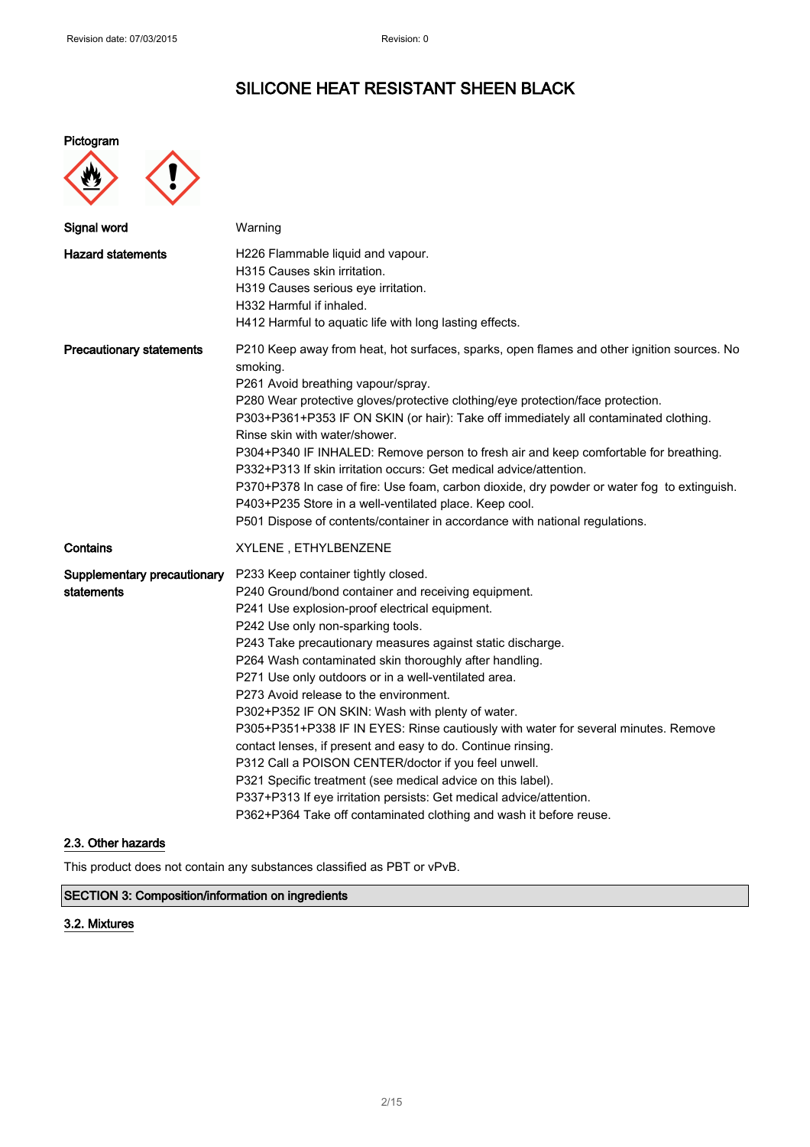### Pictogram



| Signal word                               | Warning                                                                                                                                                                                                                                                                                                                                                                                                                                                                                                                                                                                                                                                                                                                                                                                                                                                                                   |
|-------------------------------------------|-------------------------------------------------------------------------------------------------------------------------------------------------------------------------------------------------------------------------------------------------------------------------------------------------------------------------------------------------------------------------------------------------------------------------------------------------------------------------------------------------------------------------------------------------------------------------------------------------------------------------------------------------------------------------------------------------------------------------------------------------------------------------------------------------------------------------------------------------------------------------------------------|
| <b>Hazard statements</b>                  | H226 Flammable liquid and vapour.<br>H315 Causes skin irritation.<br>H319 Causes serious eye irritation.<br>H332 Harmful if inhaled.<br>H412 Harmful to aquatic life with long lasting effects.                                                                                                                                                                                                                                                                                                                                                                                                                                                                                                                                                                                                                                                                                           |
| <b>Precautionary statements</b>           | P210 Keep away from heat, hot surfaces, sparks, open flames and other ignition sources. No<br>smoking.<br>P261 Avoid breathing vapour/spray.<br>P280 Wear protective gloves/protective clothing/eye protection/face protection.<br>P303+P361+P353 IF ON SKIN (or hair): Take off immediately all contaminated clothing.<br>Rinse skin with water/shower.<br>P304+P340 IF INHALED: Remove person to fresh air and keep comfortable for breathing.<br>P332+P313 If skin irritation occurs: Get medical advice/attention.<br>P370+P378 In case of fire: Use foam, carbon dioxide, dry powder or water fog to extinguish.<br>P403+P235 Store in a well-ventilated place. Keep cool.<br>P501 Dispose of contents/container in accordance with national regulations.                                                                                                                            |
| Contains                                  | XYLENE, ETHYLBENZENE                                                                                                                                                                                                                                                                                                                                                                                                                                                                                                                                                                                                                                                                                                                                                                                                                                                                      |
| Supplementary precautionary<br>statements | P233 Keep container tightly closed.<br>P240 Ground/bond container and receiving equipment.<br>P241 Use explosion-proof electrical equipment.<br>P242 Use only non-sparking tools.<br>P243 Take precautionary measures against static discharge.<br>P264 Wash contaminated skin thoroughly after handling.<br>P271 Use only outdoors or in a well-ventilated area.<br>P273 Avoid release to the environment.<br>P302+P352 IF ON SKIN: Wash with plenty of water.<br>P305+P351+P338 IF IN EYES: Rinse cautiously with water for several minutes. Remove<br>contact lenses, if present and easy to do. Continue rinsing.<br>P312 Call a POISON CENTER/doctor if you feel unwell.<br>P321 Specific treatment (see medical advice on this label).<br>P337+P313 If eye irritation persists: Get medical advice/attention.<br>P362+P364 Take off contaminated clothing and wash it before reuse. |

### 2.3. Other hazards

This product does not contain any substances classified as PBT or vPvB.

### SECTION 3: Composition/information on ingredients

### 3.2. Mixtures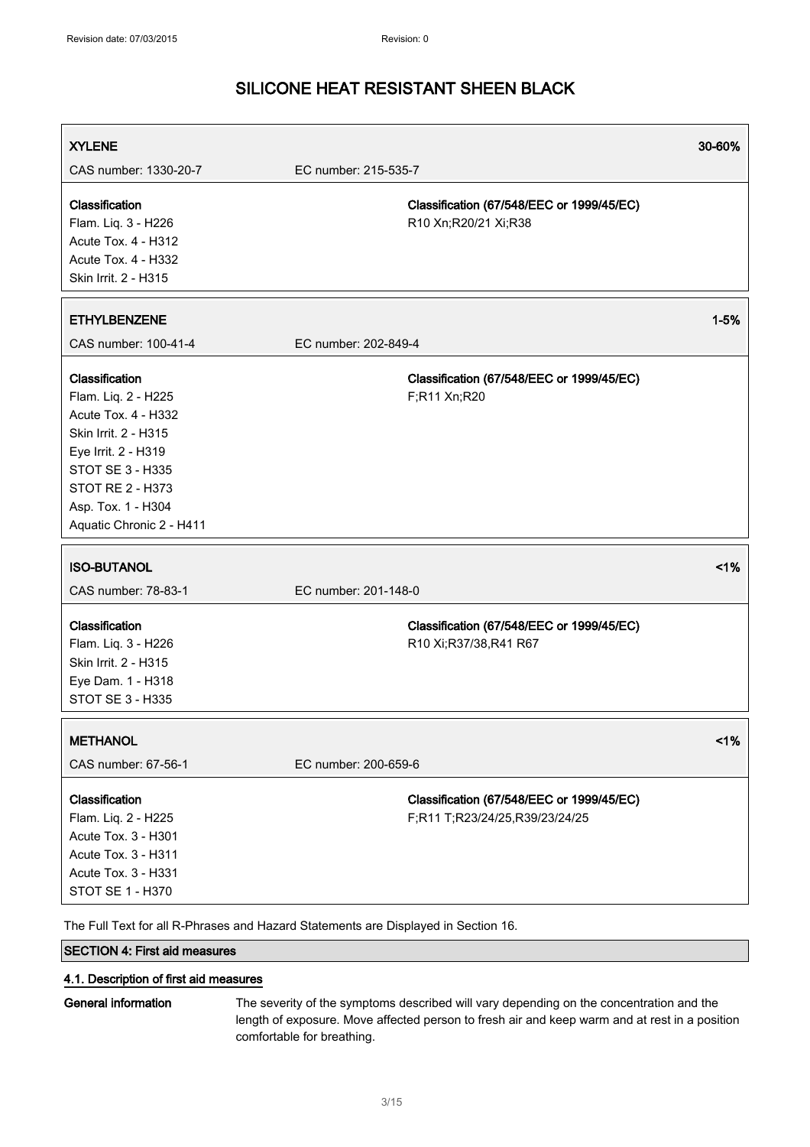| <b>XYLENE</b>                                                                                                                                                                                                       |                                                                             | 30-60%   |
|---------------------------------------------------------------------------------------------------------------------------------------------------------------------------------------------------------------------|-----------------------------------------------------------------------------|----------|
| CAS number: 1330-20-7                                                                                                                                                                                               | EC number: 215-535-7                                                        |          |
| Classification<br>Flam. Liq. 3 - H226<br>Acute Tox. 4 - H312<br><b>Acute Tox. 4 - H332</b><br>Skin Irrit. 2 - H315                                                                                                  | Classification (67/548/EEC or 1999/45/EC)<br>R10 Xn; R20/21 Xi; R38         |          |
| <b>ETHYLBENZENE</b>                                                                                                                                                                                                 |                                                                             | $1 - 5%$ |
| CAS number: 100-41-4                                                                                                                                                                                                | EC number: 202-849-4                                                        |          |
| Classification<br>Flam. Liq. 2 - H225<br>Acute Tox. 4 - H332<br>Skin Irrit. 2 - H315<br>Eye Irrit. 2 - H319<br><b>STOT SE 3 - H335</b><br><b>STOT RE 2 - H373</b><br>Asp. Tox. 1 - H304<br>Aquatic Chronic 2 - H411 | Classification (67/548/EEC or 1999/45/EC)<br>F;R11 Xn;R20                   |          |
| <b>ISO-BUTANOL</b>                                                                                                                                                                                                  |                                                                             | 1%       |
| CAS number: 78-83-1                                                                                                                                                                                                 | EC number: 201-148-0                                                        |          |
| Classification<br>Flam. Liq. 3 - H226<br>Skin Irrit. 2 - H315<br>Eye Dam. 1 - H318<br>STOT SE 3 - H335                                                                                                              | Classification (67/548/EEC or 1999/45/EC)<br>R10 Xi;R37/38,R41 R67          |          |
| <b>METHANOL</b>                                                                                                                                                                                                     |                                                                             | 1%       |
| CAS number: 67-56-1                                                                                                                                                                                                 | EC number: 200-659-6                                                        |          |
| Classification<br>Flam. Liq. 2 - H225<br>Acute Tox. 3 - H301<br>Acute Tox. 3 - H311<br>Acute Tox. 3 - H331<br>STOT SE 1 - H370                                                                                      | Classification (67/548/EEC or 1999/45/EC)<br>F;R11 T;R23/24/25,R39/23/24/25 |          |

The Full Text for all R-Phrases and Hazard Statements are Displayed in Section 16.

### SECTION 4: First aid measures

### 4.1. Description of first aid measures

General information The severity of the symptoms described will vary depending on the concentration and the length of exposure. Move affected person to fresh air and keep warm and at rest in a position comfortable for breathing.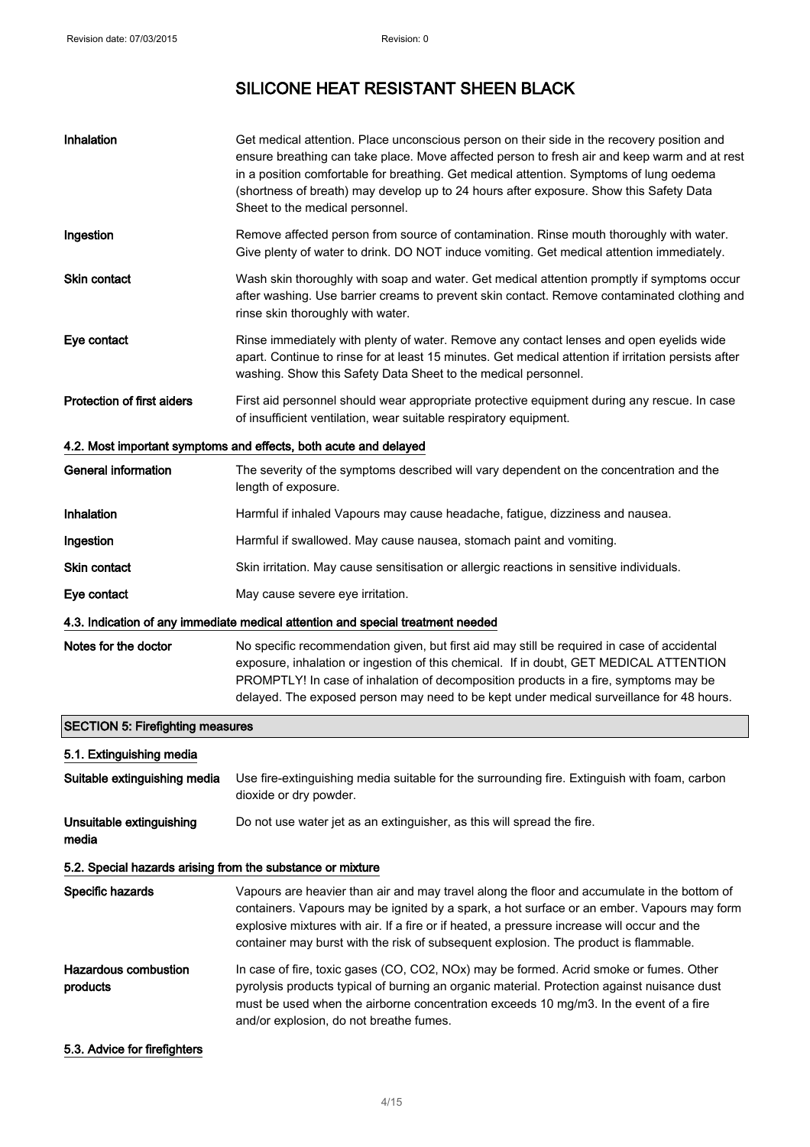| Inhalation                                                 | Get medical attention. Place unconscious person on their side in the recovery position and<br>ensure breathing can take place. Move affected person to fresh air and keep warm and at rest<br>in a position comfortable for breathing. Get medical attention. Symptoms of lung oedema<br>(shortness of breath) may develop up to 24 hours after exposure. Show this Safety Data<br>Sheet to the medical personnel. |
|------------------------------------------------------------|--------------------------------------------------------------------------------------------------------------------------------------------------------------------------------------------------------------------------------------------------------------------------------------------------------------------------------------------------------------------------------------------------------------------|
| Ingestion                                                  | Remove affected person from source of contamination. Rinse mouth thoroughly with water.<br>Give plenty of water to drink. DO NOT induce vomiting. Get medical attention immediately.                                                                                                                                                                                                                               |
| <b>Skin contact</b>                                        | Wash skin thoroughly with soap and water. Get medical attention promptly if symptoms occur<br>after washing. Use barrier creams to prevent skin contact. Remove contaminated clothing and<br>rinse skin thoroughly with water.                                                                                                                                                                                     |
| Eye contact                                                | Rinse immediately with plenty of water. Remove any contact lenses and open eyelids wide<br>apart. Continue to rinse for at least 15 minutes. Get medical attention if irritation persists after<br>washing. Show this Safety Data Sheet to the medical personnel.                                                                                                                                                  |
| <b>Protection of first aiders</b>                          | First aid personnel should wear appropriate protective equipment during any rescue. In case<br>of insufficient ventilation, wear suitable respiratory equipment.                                                                                                                                                                                                                                                   |
|                                                            | 4.2. Most important symptoms and effects, both acute and delayed                                                                                                                                                                                                                                                                                                                                                   |
| <b>General information</b>                                 | The severity of the symptoms described will vary dependent on the concentration and the<br>length of exposure.                                                                                                                                                                                                                                                                                                     |
| Inhalation                                                 | Harmful if inhaled Vapours may cause headache, fatigue, dizziness and nausea.                                                                                                                                                                                                                                                                                                                                      |
| Ingestion                                                  | Harmful if swallowed. May cause nausea, stomach paint and vomiting.                                                                                                                                                                                                                                                                                                                                                |
| <b>Skin contact</b>                                        | Skin irritation. May cause sensitisation or allergic reactions in sensitive individuals.                                                                                                                                                                                                                                                                                                                           |
| Eye contact                                                | May cause severe eye irritation.                                                                                                                                                                                                                                                                                                                                                                                   |
|                                                            | 4.3. Indication of any immediate medical attention and special treatment needed                                                                                                                                                                                                                                                                                                                                    |
| Notes for the doctor                                       | No specific recommendation given, but first aid may still be required in case of accidental<br>exposure, inhalation or ingestion of this chemical. If in doubt, GET MEDICAL ATTENTION<br>PROMPTLY! In case of inhalation of decomposition products in a fire, symptoms may be<br>delayed. The exposed person may need to be kept under medical surveillance for 48 hours.                                          |
| <b>SECTION 5: Firefighting measures</b>                    |                                                                                                                                                                                                                                                                                                                                                                                                                    |
| 5.1. Extinguishing media                                   |                                                                                                                                                                                                                                                                                                                                                                                                                    |
| Suitable extinguishing media                               | Use fire-extinguishing media suitable for the surrounding fire. Extinguish with foam, carbon<br>dioxide or dry powder.                                                                                                                                                                                                                                                                                             |
| Unsuitable extinguishing<br>media                          | Do not use water jet as an extinguisher, as this will spread the fire.                                                                                                                                                                                                                                                                                                                                             |
| 5.2. Special hazards arising from the substance or mixture |                                                                                                                                                                                                                                                                                                                                                                                                                    |
| Specific hazards                                           | Vapours are heavier than air and may travel along the floor and accumulate in the bottom of<br>containers. Vapours may be ignited by a spark, a hot surface or an ember. Vapours may form<br>explosive mixtures with air. If a fire or if heated, a pressure increase will occur and the<br>container may burst with the risk of subsequent explosion. The product is flammable.                                   |
| <b>Hazardous combustion</b><br>products                    | In case of fire, toxic gases (CO, CO2, NOx) may be formed. Acrid smoke or fumes. Other<br>pyrolysis products typical of burning an organic material. Protection against nuisance dust<br>must be used when the airborne concentration exceeds 10 mg/m3. In the event of a fire<br>and/or explosion, do not breathe fumes.                                                                                          |
| 5.3. Advice for firefighters                               |                                                                                                                                                                                                                                                                                                                                                                                                                    |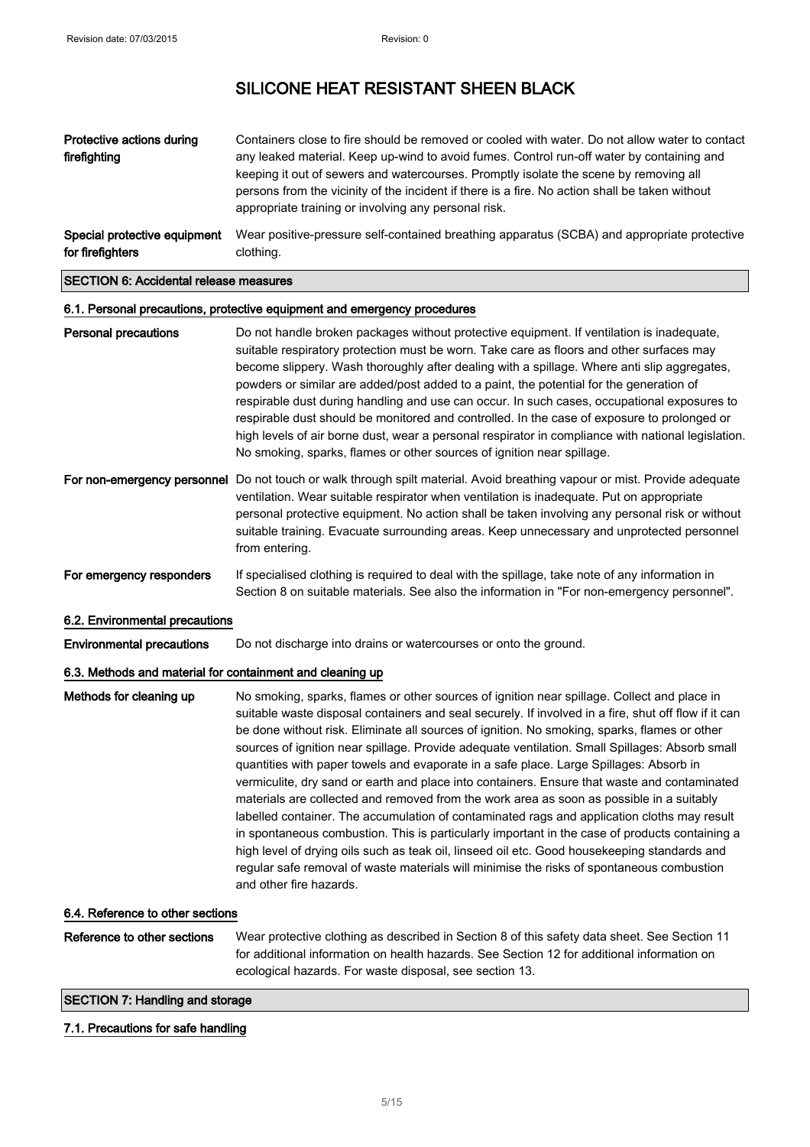| Protective actions during<br>firefighting                                                                                                                                                                                                                                                                                              | Containers close to fire should be removed or cooled with water. Do not allow water to contact<br>any leaked material. Keep up-wind to avoid fumes. Control run-off water by containing and<br>keeping it out of sewers and watercourses. Promptly isolate the scene by removing all<br>persons from the vicinity of the incident if there is a fire. No action shall be taken without<br>appropriate training or involving any personal risk. |
|----------------------------------------------------------------------------------------------------------------------------------------------------------------------------------------------------------------------------------------------------------------------------------------------------------------------------------------|------------------------------------------------------------------------------------------------------------------------------------------------------------------------------------------------------------------------------------------------------------------------------------------------------------------------------------------------------------------------------------------------------------------------------------------------|
| Special protective equipment<br>for firefighters                                                                                                                                                                                                                                                                                       | Wear positive-pressure self-contained breathing apparatus (SCBA) and appropriate protective<br>clothing.                                                                                                                                                                                                                                                                                                                                       |
| $\overline{\mathbf{A}}$ $\mathbf{B}$ $\mathbf{A}$ $\mathbf{B}$ $\mathbf{A}$ $\mathbf{A}$ $\mathbf{A}$ $\mathbf{A}$ $\mathbf{A}$ $\mathbf{A}$ $\mathbf{A}$ $\mathbf{A}$ $\mathbf{A}$ $\mathbf{A}$ $\mathbf{A}$ $\mathbf{A}$ $\mathbf{A}$ $\mathbf{A}$ $\mathbf{A}$ $\mathbf{A}$ $\mathbf{A}$ $\mathbf{A}$ $\mathbf{A}$ $\mathbf{A}$ $\$ |                                                                                                                                                                                                                                                                                                                                                                                                                                                |

#### SECTION 6: Accidental release measures

### 6.1. Personal precautions, protective equipment and emergency procedures

| <b>Personal precautions</b>                               | Do not handle broken packages without protective equipment. If ventilation is inadequate,<br>suitable respiratory protection must be worn. Take care as floors and other surfaces may<br>become slippery. Wash thoroughly after dealing with a spillage. Where anti slip aggregates,<br>powders or similar are added/post added to a paint, the potential for the generation of<br>respirable dust during handling and use can occur. In such cases, occupational exposures to<br>respirable dust should be monitored and controlled. In the case of exposure to prolonged or<br>high levels of air borne dust, wear a personal respirator in compliance with national legislation.<br>No smoking, sparks, flames or other sources of ignition near spillage.                                                                                                                                                                                                                                                                                                                                                        |
|-----------------------------------------------------------|----------------------------------------------------------------------------------------------------------------------------------------------------------------------------------------------------------------------------------------------------------------------------------------------------------------------------------------------------------------------------------------------------------------------------------------------------------------------------------------------------------------------------------------------------------------------------------------------------------------------------------------------------------------------------------------------------------------------------------------------------------------------------------------------------------------------------------------------------------------------------------------------------------------------------------------------------------------------------------------------------------------------------------------------------------------------------------------------------------------------|
|                                                           | For non-emergency personnel Do not touch or walk through spilt material. Avoid breathing vapour or mist. Provide adequate<br>ventilation. Wear suitable respirator when ventilation is inadequate. Put on appropriate<br>personal protective equipment. No action shall be taken involving any personal risk or without<br>suitable training. Evacuate surrounding areas. Keep unnecessary and unprotected personnel<br>from entering.                                                                                                                                                                                                                                                                                                                                                                                                                                                                                                                                                                                                                                                                               |
| For emergency responders                                  | If specialised clothing is required to deal with the spillage, take note of any information in<br>Section 8 on suitable materials. See also the information in "For non-emergency personnel".                                                                                                                                                                                                                                                                                                                                                                                                                                                                                                                                                                                                                                                                                                                                                                                                                                                                                                                        |
| 6.2. Environmental precautions                            |                                                                                                                                                                                                                                                                                                                                                                                                                                                                                                                                                                                                                                                                                                                                                                                                                                                                                                                                                                                                                                                                                                                      |
| <b>Environmental precautions</b>                          | Do not discharge into drains or watercourses or onto the ground.                                                                                                                                                                                                                                                                                                                                                                                                                                                                                                                                                                                                                                                                                                                                                                                                                                                                                                                                                                                                                                                     |
| 6.3. Methods and material for containment and cleaning up |                                                                                                                                                                                                                                                                                                                                                                                                                                                                                                                                                                                                                                                                                                                                                                                                                                                                                                                                                                                                                                                                                                                      |
| Methods for cleaning up                                   | No smoking, sparks, flames or other sources of ignition near spillage. Collect and place in<br>suitable waste disposal containers and seal securely. If involved in a fire, shut off flow if it can<br>be done without risk. Eliminate all sources of ignition. No smoking, sparks, flames or other<br>sources of ignition near spillage. Provide adequate ventilation. Small Spillages: Absorb small<br>quantities with paper towels and evaporate in a safe place. Large Spillages: Absorb in<br>vermiculite, dry sand or earth and place into containers. Ensure that waste and contaminated<br>materials are collected and removed from the work area as soon as possible in a suitably<br>labelled container. The accumulation of contaminated rags and application cloths may result<br>in spontaneous combustion. This is particularly important in the case of products containing a<br>high level of drying oils such as teak oil, linseed oil etc. Good housekeeping standards and<br>regular safe removal of waste materials will minimise the risks of spontaneous combustion<br>and other fire hazards. |
| 6.4. Reference to other sections                          |                                                                                                                                                                                                                                                                                                                                                                                                                                                                                                                                                                                                                                                                                                                                                                                                                                                                                                                                                                                                                                                                                                                      |
| Reference to other sections                               | Wear protective clothing as described in Section 8 of this safety data sheet. See Section 11<br>for additional information on health hazards. See Section 12 for additional information on                                                                                                                                                                                                                                                                                                                                                                                                                                                                                                                                                                                                                                                                                                                                                                                                                                                                                                                           |

ecological hazards. For waste disposal, see section 13.

### SECTION 7: Handling and storage

#### 7.1. Precautions for safe handling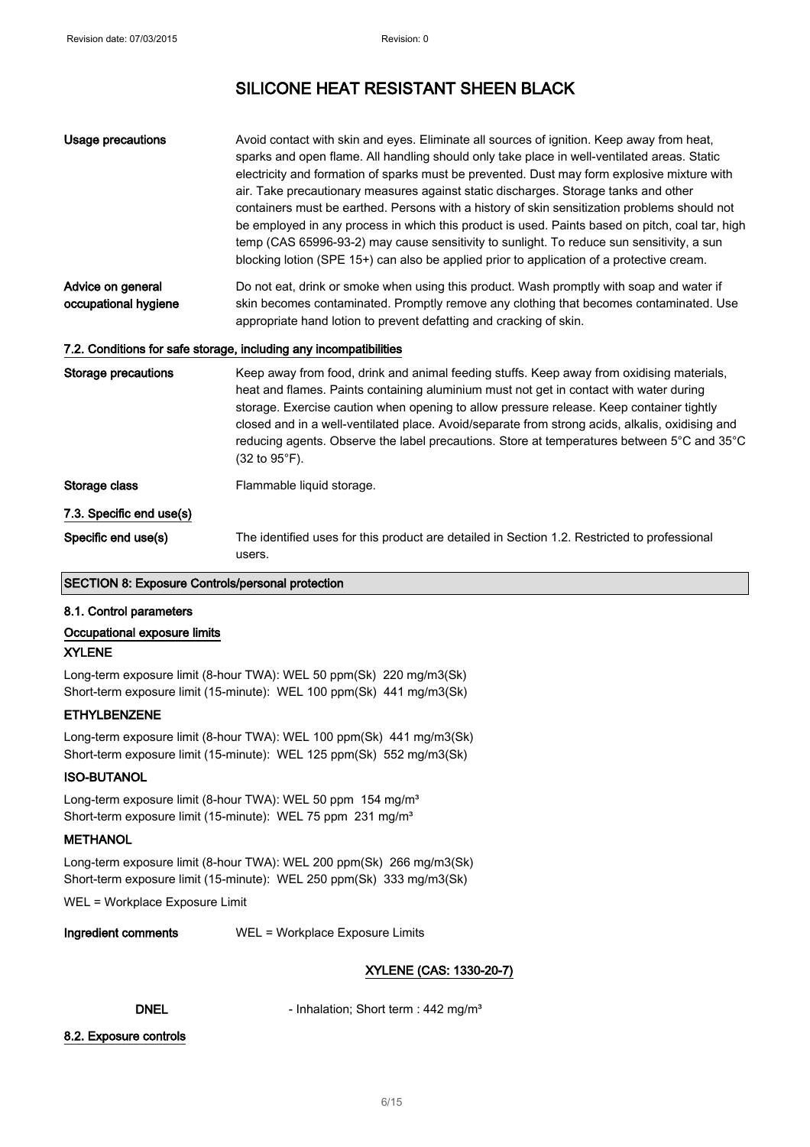| <b>Usage precautions</b>                  | Avoid contact with skin and eyes. Eliminate all sources of ignition. Keep away from heat,<br>sparks and open flame. All handling should only take place in well-ventilated areas. Static<br>electricity and formation of sparks must be prevented. Dust may form explosive mixture with<br>air. Take precautionary measures against static discharges. Storage tanks and other<br>containers must be earthed. Persons with a history of skin sensitization problems should not<br>be employed in any process in which this product is used. Paints based on pitch, coal tar, high<br>temp (CAS 65996-93-2) may cause sensitivity to sunlight. To reduce sun sensitivity, a sun<br>blocking lotion (SPE 15+) can also be applied prior to application of a protective cream. |
|-------------------------------------------|-----------------------------------------------------------------------------------------------------------------------------------------------------------------------------------------------------------------------------------------------------------------------------------------------------------------------------------------------------------------------------------------------------------------------------------------------------------------------------------------------------------------------------------------------------------------------------------------------------------------------------------------------------------------------------------------------------------------------------------------------------------------------------|
| Advice on general<br>occupational hygiene | Do not eat, drink or smoke when using this product. Wash promptly with soap and water if<br>skin becomes contaminated. Promptly remove any clothing that becomes contaminated. Use<br>appropriate hand lotion to prevent defatting and cracking of skin.                                                                                                                                                                                                                                                                                                                                                                                                                                                                                                                    |
|                                           | 7.2. Conditions for safe storage, including any incompatibilities                                                                                                                                                                                                                                                                                                                                                                                                                                                                                                                                                                                                                                                                                                           |
| Storage precautions                       | Keep away from food, drink and animal feeding stuffs. Keep away from oxidising materials,<br>heat and flames. Paints containing aluminium must not get in contact with water during<br>storage. Exercise caution when opening to allow pressure release. Keep container tightly<br>closed and in a well-ventilated place. Avoid/separate from strong acids, alkalis, oxidising and<br>reducing agents. Observe the label precautions. Store at temperatures between 5°C and 35°C<br>$(32 \text{ to } 95^{\circ} \text{F}).$                                                                                                                                                                                                                                                 |
| Storage class                             | Flammable liquid storage.                                                                                                                                                                                                                                                                                                                                                                                                                                                                                                                                                                                                                                                                                                                                                   |
| 7.3. Specific end use(s)                  |                                                                                                                                                                                                                                                                                                                                                                                                                                                                                                                                                                                                                                                                                                                                                                             |
| Specific end use(s)                       | The identified uses for this product are detailed in Section 1.2. Restricted to professional<br>users.                                                                                                                                                                                                                                                                                                                                                                                                                                                                                                                                                                                                                                                                      |

#### SECTION 8: Exposure Controls/personal protection

#### 8.1. Control parameters

### Occupational exposure limits

### XYLENE

Long-term exposure limit (8-hour TWA): WEL 50 ppm(Sk) 220 mg/m3(Sk) Short-term exposure limit (15-minute): WEL 100 ppm(Sk) 441 mg/m3(Sk)

#### ETHYLBENZENE

Long-term exposure limit (8-hour TWA): WEL 100 ppm(Sk) 441 mg/m3(Sk) Short-term exposure limit (15-minute): WEL 125 ppm(Sk) 552 mg/m3(Sk)

### ISO-BUTANOL

Long-term exposure limit (8-hour TWA): WEL 50 ppm 154 mg/m<sup>3</sup> Short-term exposure limit (15-minute): WEL 75 ppm 231 mg/m<sup>3</sup>

### **METHANOL**

Long-term exposure limit (8-hour TWA): WEL 200 ppm(Sk) 266 mg/m3(Sk) Short-term exposure limit (15-minute): WEL 250 ppm(Sk) 333 mg/m3(Sk)

WEL = Workplace Exposure Limit

Ingredient comments WEL = Workplace Exposure Limits

### XYLENE (CAS: 1330-20-7)

DNEL - Inhalation: Short term : 442 mg/m<sup>3</sup>

#### 8.2. Exposure controls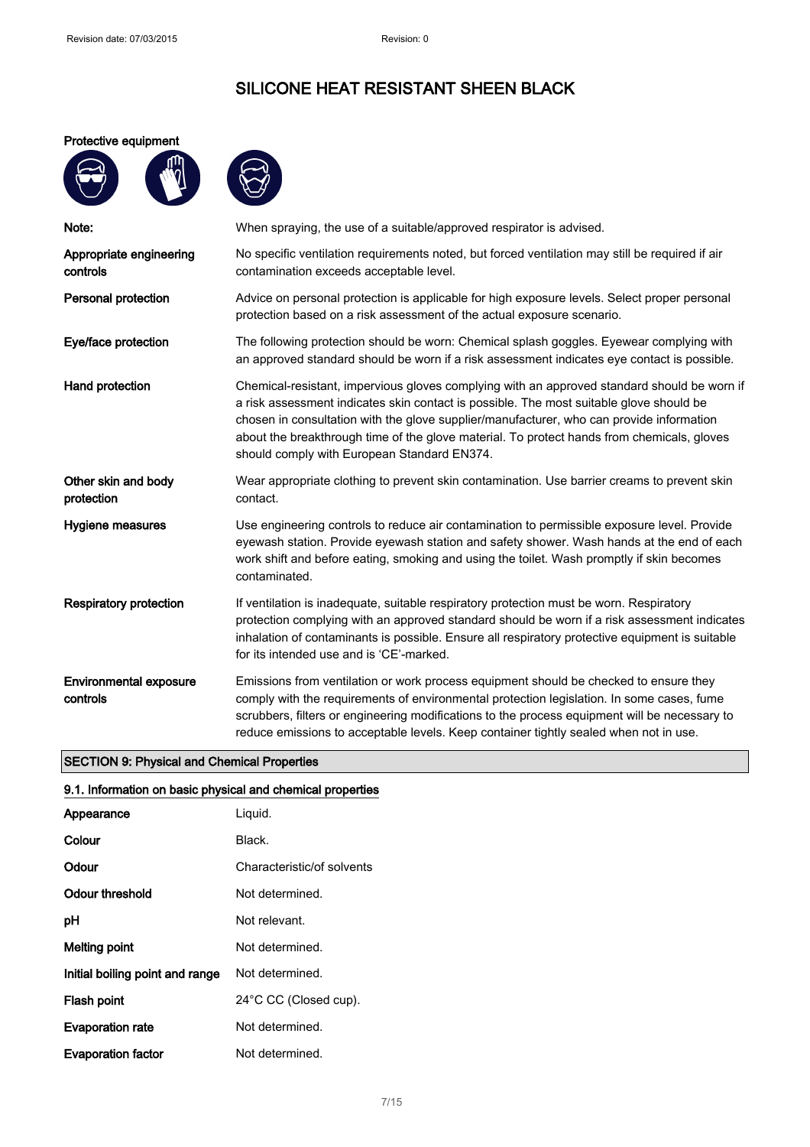#### Protective equipment

**AND** 





| Note:                                     | When spraying, the use of a suitable/approved respirator is advised.                                                                                                                                                                                                                                                                                                                                                            |
|-------------------------------------------|---------------------------------------------------------------------------------------------------------------------------------------------------------------------------------------------------------------------------------------------------------------------------------------------------------------------------------------------------------------------------------------------------------------------------------|
| Appropriate engineering<br>controls       | No specific ventilation requirements noted, but forced ventilation may still be required if air<br>contamination exceeds acceptable level.                                                                                                                                                                                                                                                                                      |
| Personal protection                       | Advice on personal protection is applicable for high exposure levels. Select proper personal<br>protection based on a risk assessment of the actual exposure scenario.                                                                                                                                                                                                                                                          |
| Eye/face protection                       | The following protection should be worn: Chemical splash goggles. Eyewear complying with<br>an approved standard should be worn if a risk assessment indicates eye contact is possible.                                                                                                                                                                                                                                         |
| Hand protection                           | Chemical-resistant, impervious gloves complying with an approved standard should be worn if<br>a risk assessment indicates skin contact is possible. The most suitable glove should be<br>chosen in consultation with the glove supplier/manufacturer, who can provide information<br>about the breakthrough time of the glove material. To protect hands from chemicals, gloves<br>should comply with European Standard EN374. |
| Other skin and body<br>protection         | Wear appropriate clothing to prevent skin contamination. Use barrier creams to prevent skin<br>contact.                                                                                                                                                                                                                                                                                                                         |
| Hygiene measures                          | Use engineering controls to reduce air contamination to permissible exposure level. Provide<br>eyewash station. Provide eyewash station and safety shower. Wash hands at the end of each<br>work shift and before eating, smoking and using the toilet. Wash promptly if skin becomes<br>contaminated.                                                                                                                          |
| <b>Respiratory protection</b>             | If ventilation is inadequate, suitable respiratory protection must be worn. Respiratory<br>protection complying with an approved standard should be worn if a risk assessment indicates<br>inhalation of contaminants is possible. Ensure all respiratory protective equipment is suitable<br>for its intended use and is 'CE'-marked.                                                                                          |
| <b>Environmental exposure</b><br>controls | Emissions from ventilation or work process equipment should be checked to ensure they<br>comply with the requirements of environmental protection legislation. In some cases, fume<br>scrubbers, filters or engineering modifications to the process equipment will be necessary to<br>reduce emissions to acceptable levels. Keep container tightly sealed when not in use.                                                    |

### SECTION 9: Physical and Chemical Properties

### 9.1. Information on basic physical and chemical properties

| Appearance                      | Liguid.                    |
|---------------------------------|----------------------------|
| Colour                          | Black.                     |
| Odour                           | Characteristic/of solvents |
| Odour threshold                 | Not determined.            |
| рH                              | Not relevant.              |
| <b>Melting point</b>            | Not determined.            |
| Initial boiling point and range | Not determined.            |
| Flash point                     | 24°C CC (Closed cup).      |
| <b>Evaporation rate</b>         | Not determined.            |
| <b>Evaporation factor</b>       | Not determined.            |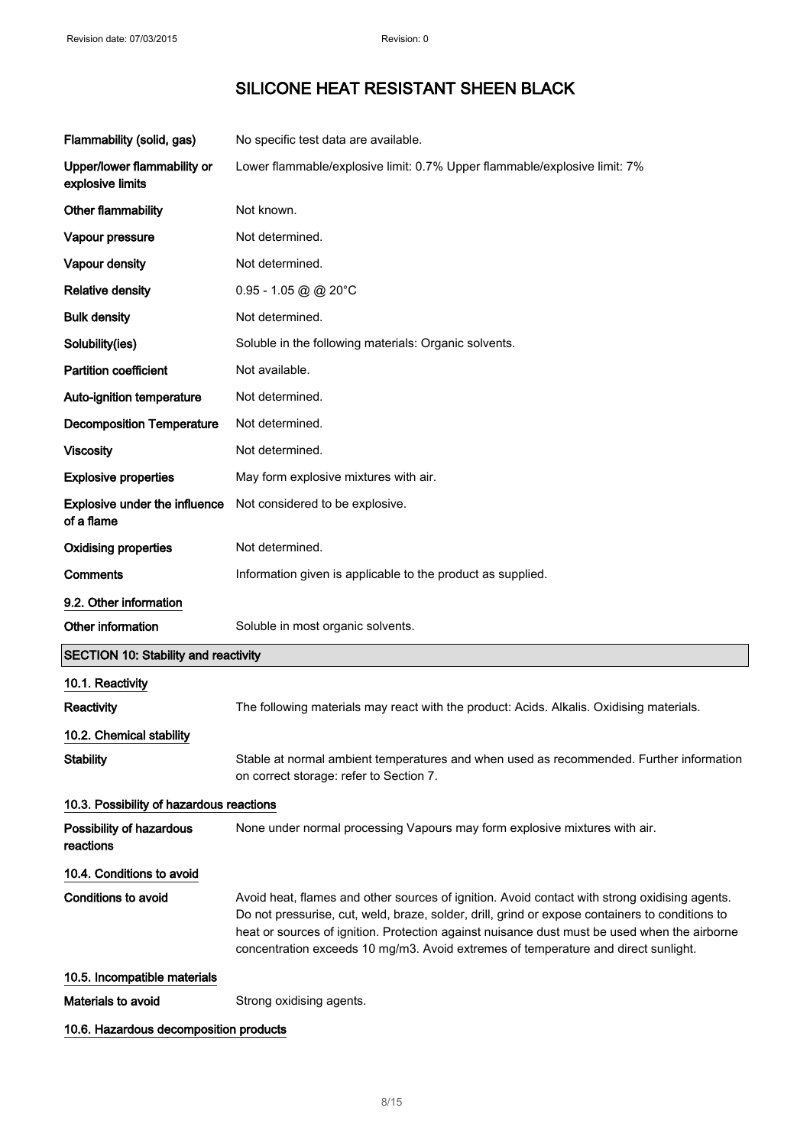| Flammability (solid, gas)                       | No specific test data are available.                                                                                                                                                                                                                                                                                                                                                   |
|-------------------------------------------------|----------------------------------------------------------------------------------------------------------------------------------------------------------------------------------------------------------------------------------------------------------------------------------------------------------------------------------------------------------------------------------------|
| Upper/lower flammability or<br>explosive limits | Lower flammable/explosive limit: 0.7% Upper flammable/explosive limit: 7%                                                                                                                                                                                                                                                                                                              |
| Other flammability                              | Not known.                                                                                                                                                                                                                                                                                                                                                                             |
| Vapour pressure                                 | Not determined.                                                                                                                                                                                                                                                                                                                                                                        |
| Vapour density                                  | Not determined.                                                                                                                                                                                                                                                                                                                                                                        |
| <b>Relative density</b>                         | $0.95 - 1.05$ @ @ 20°C                                                                                                                                                                                                                                                                                                                                                                 |
| <b>Bulk density</b>                             | Not determined.                                                                                                                                                                                                                                                                                                                                                                        |
| Solubility(ies)                                 | Soluble in the following materials: Organic solvents.                                                                                                                                                                                                                                                                                                                                  |
| <b>Partition coefficient</b>                    | Not available.                                                                                                                                                                                                                                                                                                                                                                         |
| Auto-ignition temperature                       | Not determined.                                                                                                                                                                                                                                                                                                                                                                        |
| <b>Decomposition Temperature</b>                | Not determined.                                                                                                                                                                                                                                                                                                                                                                        |
| <b>Viscosity</b>                                | Not determined.                                                                                                                                                                                                                                                                                                                                                                        |
| <b>Explosive properties</b>                     | May form explosive mixtures with air.                                                                                                                                                                                                                                                                                                                                                  |
| Explosive under the influence<br>of a flame     | Not considered to be explosive.                                                                                                                                                                                                                                                                                                                                                        |
| <b>Oxidising properties</b>                     | Not determined.                                                                                                                                                                                                                                                                                                                                                                        |
| Comments                                        | Information given is applicable to the product as supplied.                                                                                                                                                                                                                                                                                                                            |
| 9.2. Other information                          |                                                                                                                                                                                                                                                                                                                                                                                        |
| Other information                               | Soluble in most organic solvents.                                                                                                                                                                                                                                                                                                                                                      |
| <b>SECTION 10: Stability and reactivity</b>     |                                                                                                                                                                                                                                                                                                                                                                                        |
| 10.1. Reactivity                                |                                                                                                                                                                                                                                                                                                                                                                                        |
| <b>Reactivity</b>                               | The following materials may react with the product: Acids. Alkalis. Oxidising materials.                                                                                                                                                                                                                                                                                               |
| 10.2. Chemical stability                        |                                                                                                                                                                                                                                                                                                                                                                                        |
| <b>Stability</b>                                | Stable at normal ambient temperatures and when used as recommended. Further information<br>on correct storage: refer to Section 7.                                                                                                                                                                                                                                                     |
| 10.3. Possibility of hazardous reactions        |                                                                                                                                                                                                                                                                                                                                                                                        |
| Possibility of hazardous<br>reactions           | None under normal processing Vapours may form explosive mixtures with air.                                                                                                                                                                                                                                                                                                             |
| 10.4. Conditions to avoid                       |                                                                                                                                                                                                                                                                                                                                                                                        |
| <b>Conditions to avoid</b>                      | Avoid heat, flames and other sources of ignition. Avoid contact with strong oxidising agents.<br>Do not pressurise, cut, weld, braze, solder, drill, grind or expose containers to conditions to<br>heat or sources of ignition. Protection against nuisance dust must be used when the airborne<br>concentration exceeds 10 mg/m3. Avoid extremes of temperature and direct sunlight. |
| 10.5. Incompatible materials                    |                                                                                                                                                                                                                                                                                                                                                                                        |
| Materials to avoid                              | Strong oxidising agents.                                                                                                                                                                                                                                                                                                                                                               |
|                                                 |                                                                                                                                                                                                                                                                                                                                                                                        |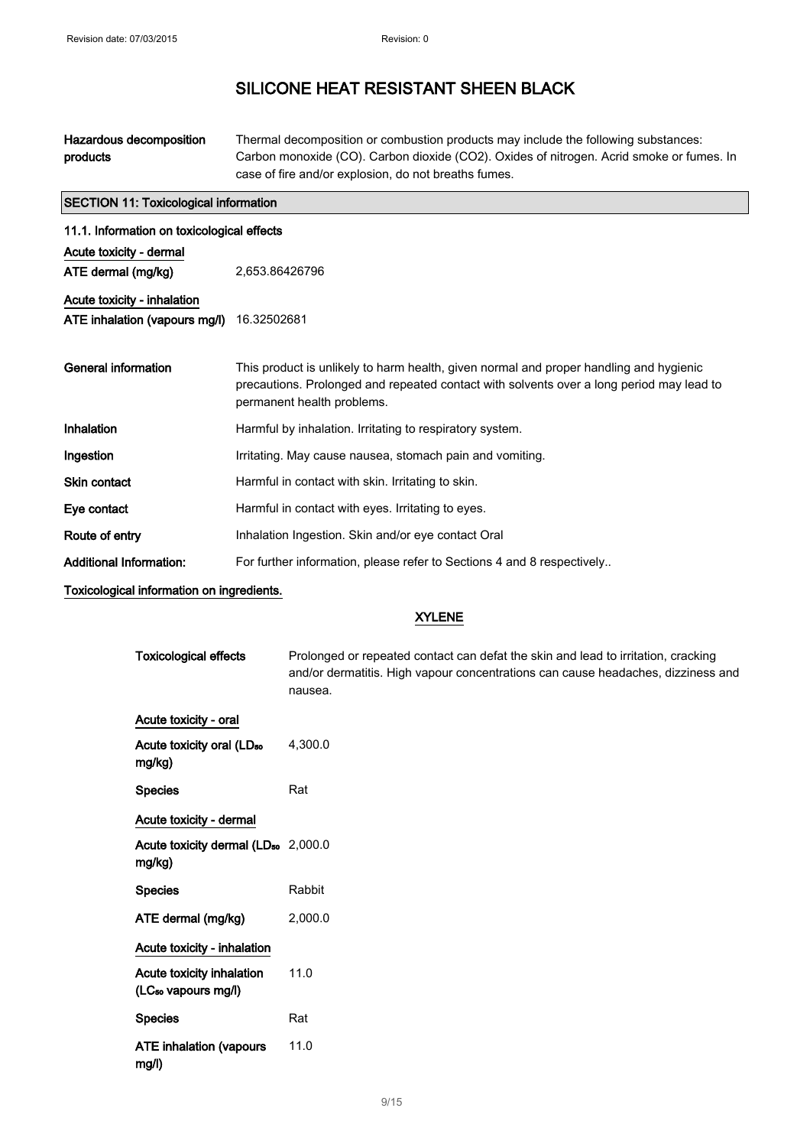| Hazardous decomposition | Thermal decomposition or combustion products may include the following substances:       |
|-------------------------|------------------------------------------------------------------------------------------|
| products                | Carbon monoxide (CO). Carbon dioxide (CO2). Oxides of nitrogen. Acrid smoke or fumes. In |
|                         | case of fire and/or explosion, do not breaths fumes.                                     |

| <b>SECTION 11: Toxicological information</b> |                                                                                                                        |  |  |
|----------------------------------------------|------------------------------------------------------------------------------------------------------------------------|--|--|
|                                              | 11.1. Information on toxicological effects                                                                             |  |  |
| Acute toxicity - dermal                      |                                                                                                                        |  |  |
| ATE dermal (mg/kg)                           | 2,653.86426796                                                                                                         |  |  |
| Acute toxicity - inhalation                  |                                                                                                                        |  |  |
| ATE inhalation (vapours mg/l)                | 16.32502681                                                                                                            |  |  |
|                                              |                                                                                                                        |  |  |
| General information                          | This product is unlikely to harm health, given normal and proper handling and hygienic                                 |  |  |
|                                              | precautions. Prolonged and repeated contact with solvents over a long period may lead to<br>permanent health problems. |  |  |
| Inhalation                                   | Harmful by inhalation. Irritating to respiratory system.                                                               |  |  |
| Ingestion                                    | Irritating. May cause nausea, stomach pain and vomiting.                                                               |  |  |
| Skin contact                                 | Harmful in contact with skin. Irritating to skin.                                                                      |  |  |
| Eye contact                                  | Harmful in contact with eyes. Irritating to eyes.                                                                      |  |  |
| Route of entry                               | Inhalation Ingestion. Skin and/or eye contact Oral                                                                     |  |  |
| <b>Additional Information:</b>               | For further information, please refer to Sections 4 and 8 respectively                                                 |  |  |
|                                              |                                                                                                                        |  |  |

Toxicological information on ingredients.

### XYLENE

| <b>Toxicological effects</b>                                 | Prolonged or repeated contact can defat the skin and lead to irritation, cracking<br>and/or dermatitis. High vapour concentrations can cause headaches, dizziness and<br>nausea. |
|--------------------------------------------------------------|----------------------------------------------------------------------------------------------------------------------------------------------------------------------------------|
| Acute toxicity - oral                                        |                                                                                                                                                                                  |
| Acute toxicity oral (LD <sub>50</sub><br>mg/kg)              | 4,300.0                                                                                                                                                                          |
| <b>Species</b>                                               | Rat                                                                                                                                                                              |
| Acute toxicity - dermal                                      |                                                                                                                                                                                  |
| Acute toxicity dermal (LD <sub>50</sub> 2,000.0<br>mg/kg)    |                                                                                                                                                                                  |
| <b>Species</b>                                               | Rabbit                                                                                                                                                                           |
| ATE dermal (mg/kg)                                           | 2,000.0                                                                                                                                                                          |
| Acute toxicity - inhalation                                  |                                                                                                                                                                                  |
| Acute toxicity inhalation<br>(LC <sub>50</sub> vapours mg/l) | 11.0                                                                                                                                                                             |
| <b>Species</b>                                               | Rat                                                                                                                                                                              |
| <b>ATE inhalation (vapours</b><br>mg/l)                      | 11.0                                                                                                                                                                             |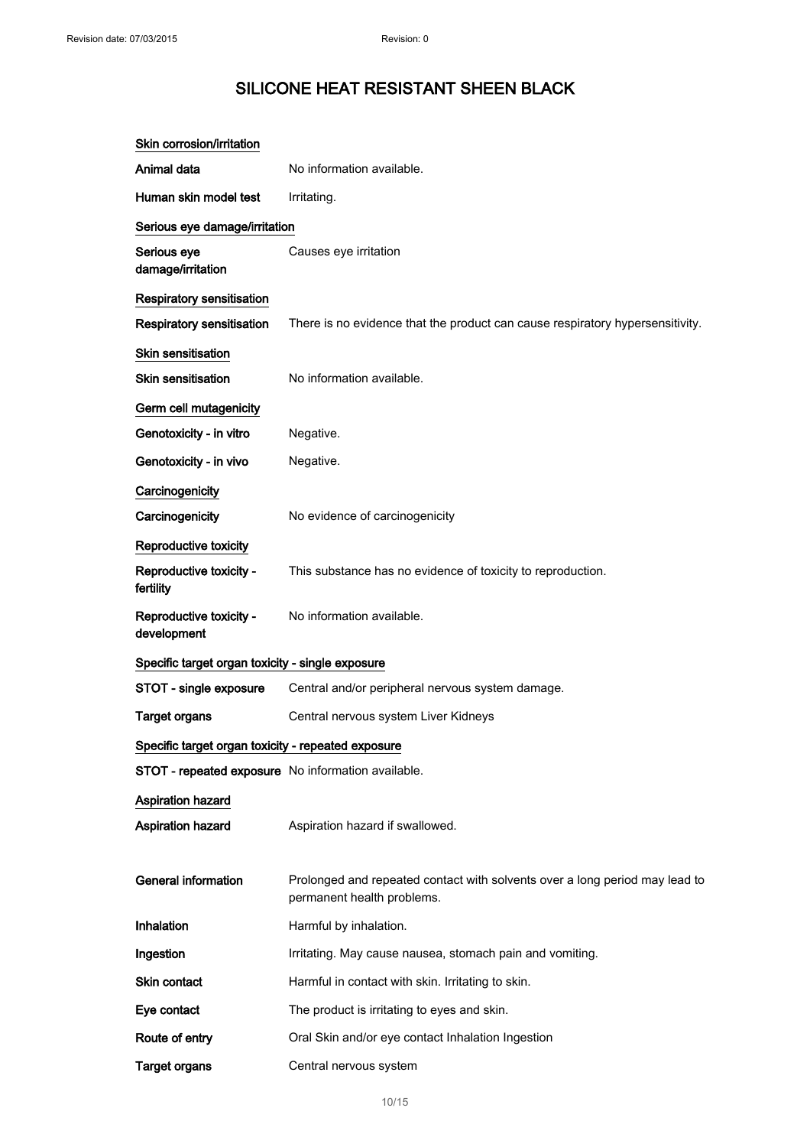| Skin corrosion/irritation                          |                                                                                                           |
|----------------------------------------------------|-----------------------------------------------------------------------------------------------------------|
| Animal data                                        | No information available.                                                                                 |
| Human skin model test                              | Irritating.                                                                                               |
| Serious eye damage/irritation                      |                                                                                                           |
| Serious eye<br>damage/irritation                   | Causes eye irritation                                                                                     |
| Respiratory sensitisation                          |                                                                                                           |
| <b>Respiratory sensitisation</b>                   | There is no evidence that the product can cause respiratory hypersensitivity.                             |
| <b>Skin sensitisation</b>                          |                                                                                                           |
| <b>Skin sensitisation</b>                          | No information available.                                                                                 |
| Germ cell mutagenicity                             |                                                                                                           |
| Genotoxicity - in vitro                            | Negative.                                                                                                 |
| Genotoxicity - in vivo                             | Negative.                                                                                                 |
| Carcinogenicity                                    |                                                                                                           |
| Carcinogenicity                                    | No evidence of carcinogenicity                                                                            |
| Reproductive toxicity                              |                                                                                                           |
| Reproductive toxicity -<br>fertility               | This substance has no evidence of toxicity to reproduction.                                               |
| Reproductive toxicity -<br>development             | No information available.                                                                                 |
| Specific target organ toxicity - single exposure   |                                                                                                           |
| STOT - single exposure                             | Central and/or peripheral nervous system damage.                                                          |
| <b>Target organs</b>                               | Central nervous system Liver Kidneys                                                                      |
| Specific target organ toxicity - repeated exposure |                                                                                                           |
| STOT - repeated exposure No information available. |                                                                                                           |
| Aspiration hazard                                  |                                                                                                           |
| Aspiration hazard                                  | Aspiration hazard if swallowed.                                                                           |
|                                                    |                                                                                                           |
| <b>General information</b>                         | Prolonged and repeated contact with solvents over a long period may lead to<br>permanent health problems. |
| Inhalation                                         | Harmful by inhalation.                                                                                    |
| Ingestion                                          | Irritating. May cause nausea, stomach pain and vomiting.                                                  |
| Skin contact                                       | Harmful in contact with skin. Irritating to skin.                                                         |
| Eye contact                                        | The product is irritating to eyes and skin.                                                               |
| Route of entry                                     | Oral Skin and/or eye contact Inhalation Ingestion                                                         |
| <b>Target organs</b>                               | Central nervous system                                                                                    |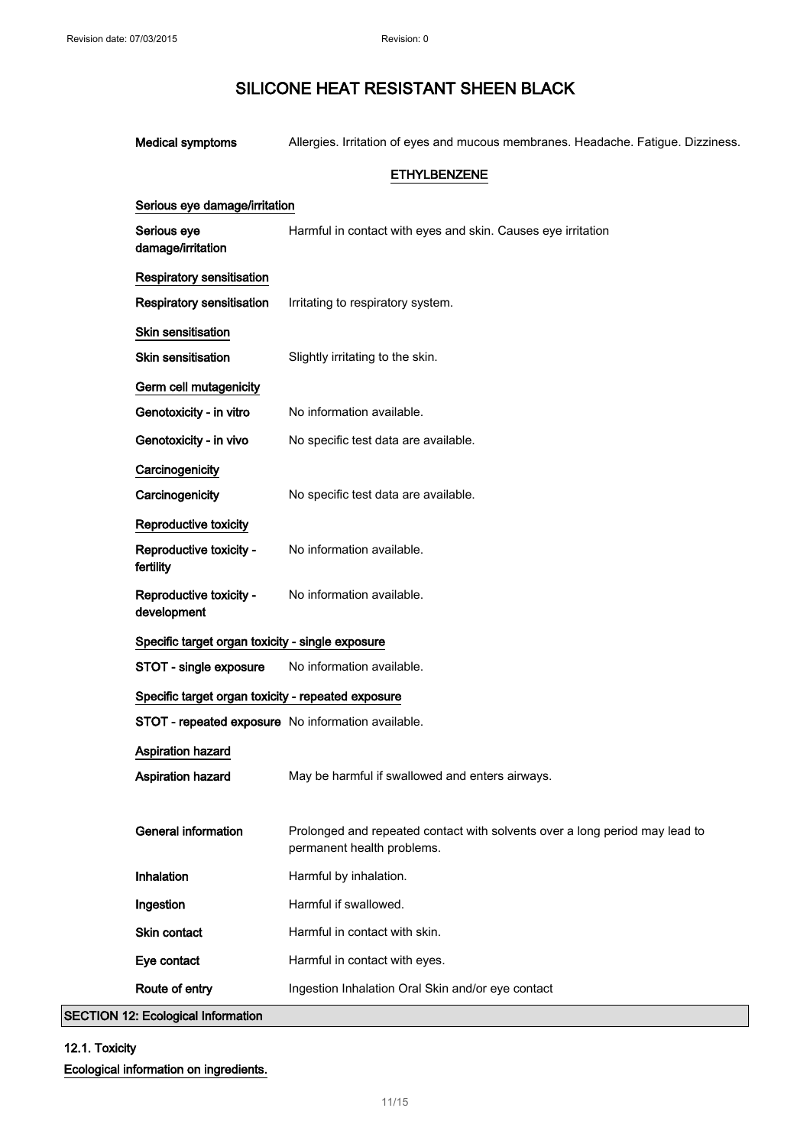| <b>Medical symptoms</b>                            | Allergies. Irritation of eyes and mucous membranes. Headache. Fatigue. Dizziness.                         |
|----------------------------------------------------|-----------------------------------------------------------------------------------------------------------|
|                                                    | <b>ETHYLBENZENE</b>                                                                                       |
| Serious eye damage/irritation                      |                                                                                                           |
| Serious eye<br>damage/irritation                   | Harmful in contact with eyes and skin. Causes eye irritation                                              |
| <b>Respiratory sensitisation</b>                   |                                                                                                           |
| Respiratory sensitisation                          | Irritating to respiratory system.                                                                         |
| <b>Skin sensitisation</b>                          |                                                                                                           |
| <b>Skin sensitisation</b>                          | Slightly irritating to the skin.                                                                          |
| Germ cell mutagenicity                             |                                                                                                           |
| Genotoxicity - in vitro                            | No information available.                                                                                 |
| Genotoxicity - in vivo                             | No specific test data are available.                                                                      |
| Carcinogenicity                                    |                                                                                                           |
| Carcinogenicity                                    | No specific test data are available.                                                                      |
| Reproductive toxicity                              |                                                                                                           |
| Reproductive toxicity -<br>fertility               | No information available.                                                                                 |
| Reproductive toxicity -<br>development             | No information available.                                                                                 |
| Specific target organ toxicity - single exposure   |                                                                                                           |
| STOT - single exposure                             | No information available.                                                                                 |
| Specific target organ toxicity - repeated exposure |                                                                                                           |
| STOT - repeated exposure No information available. |                                                                                                           |
| <b>Aspiration hazard</b>                           |                                                                                                           |
| Aspiration hazard                                  | May be harmful if swallowed and enters airways.                                                           |
| <b>General information</b>                         | Prolonged and repeated contact with solvents over a long period may lead to<br>permanent health problems. |
| Inhalation                                         | Harmful by inhalation.                                                                                    |
| Ingestion                                          | Harmful if swallowed.                                                                                     |
| Skin contact                                       | Harmful in contact with skin.                                                                             |
| Eye contact                                        | Harmful in contact with eyes.                                                                             |
| Route of entry                                     | Ingestion Inhalation Oral Skin and/or eye contact                                                         |

SECTION 12: Ecological Information

## 12.1. Toxicity Ecological information on ingredients.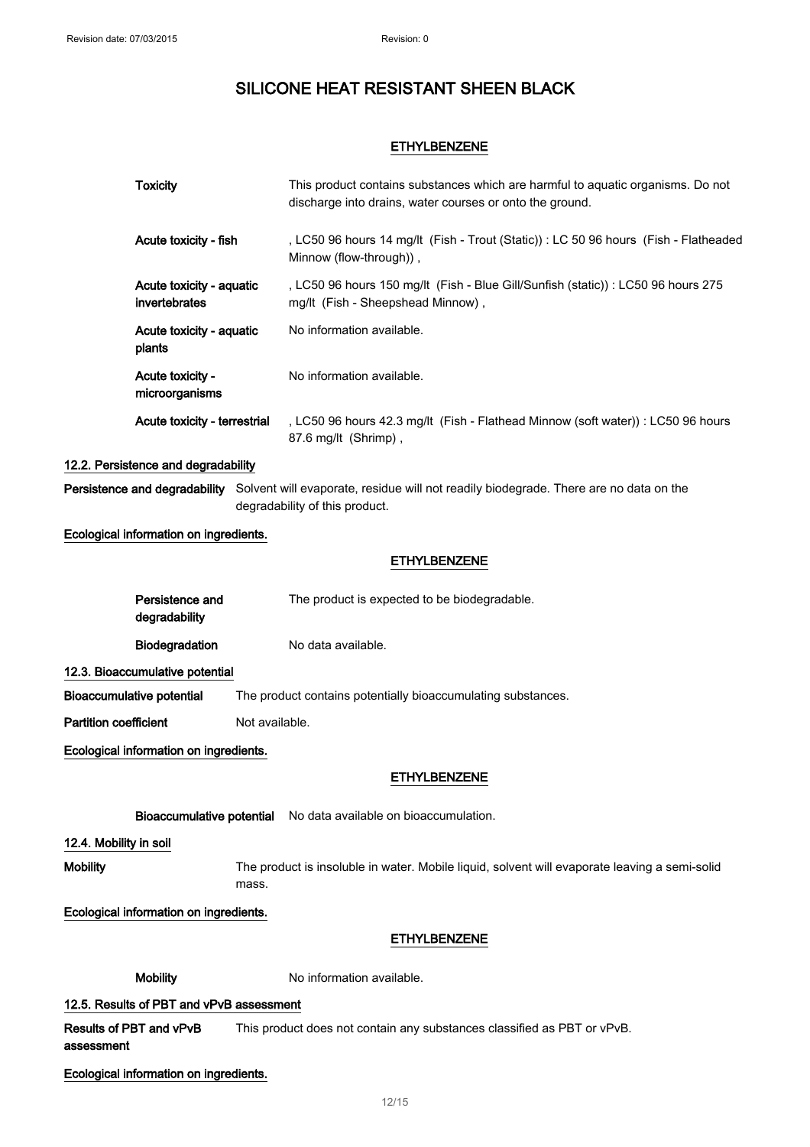### ETHYLBENZENE

| <b>Toxicity</b>                              |                | This product contains substances which are harmful to aquatic organisms. Do not<br>discharge into drains, water courses or onto the ground.           |  |  |
|----------------------------------------------|----------------|-------------------------------------------------------------------------------------------------------------------------------------------------------|--|--|
| Acute toxicity - fish                        |                | , LC50 96 hours 14 mg/lt (Fish - Trout (Static)) : LC 50 96 hours (Fish - Flatheaded<br>Minnow (flow-through)),                                       |  |  |
| Acute toxicity - aquatic<br>invertebrates    |                | , LC50 96 hours 150 mg/lt (Fish - Blue Gill/Sunfish (static)) : LC50 96 hours 275<br>mg/lt (Fish - Sheepshead Minnow),                                |  |  |
| Acute toxicity - aquatic<br>plants           |                | No information available.                                                                                                                             |  |  |
| Acute toxicity -<br>microorganisms           |                | No information available.                                                                                                                             |  |  |
| Acute toxicity - terrestrial                 |                | , LC50 96 hours 42.3 mg/lt (Fish - Flathead Minnow (soft water)) : LC50 96 hours<br>87.6 mg/lt (Shrimp),                                              |  |  |
| 12.2. Persistence and degradability          |                |                                                                                                                                                       |  |  |
|                                              |                | Persistence and degradability Solvent will evaporate, residue will not readily biodegrade. There are no data on the<br>degradability of this product. |  |  |
| Ecological information on ingredients.       |                |                                                                                                                                                       |  |  |
|                                              |                | <b>ETHYLBENZENE</b>                                                                                                                                   |  |  |
| Persistence and<br>degradability             |                | The product is expected to be biodegradable.                                                                                                          |  |  |
| Biodegradation                               |                | No data available.                                                                                                                                    |  |  |
| 12.3. Bioaccumulative potential              |                |                                                                                                                                                       |  |  |
| Bioaccumulative potential                    |                | The product contains potentially bioaccumulating substances.                                                                                          |  |  |
| <b>Partition coefficient</b>                 | Not available. |                                                                                                                                                       |  |  |
| Ecological information on ingredients.       |                |                                                                                                                                                       |  |  |
|                                              |                | <b>ETHYLBENZENE</b>                                                                                                                                   |  |  |
|                                              |                | Bioaccumulative potential No data available on bioaccumulation.                                                                                       |  |  |
| 12.4. Mobility in soil                       |                |                                                                                                                                                       |  |  |
| <b>Mobility</b>                              | mass.          | The product is insoluble in water. Mobile liquid, solvent will evaporate leaving a semi-solid                                                         |  |  |
| Ecological information on ingredients.       |                |                                                                                                                                                       |  |  |
|                                              |                | <b>ETHYLBENZENE</b>                                                                                                                                   |  |  |
| <b>Mobility</b>                              |                | No information available.                                                                                                                             |  |  |
| 12.5. Results of PBT and vPvB assessment     |                |                                                                                                                                                       |  |  |
| <b>Results of PBT and vPvB</b><br>assessment |                | This product does not contain any substances classified as PBT or vPvB.                                                                               |  |  |

Ecological information on ingredients.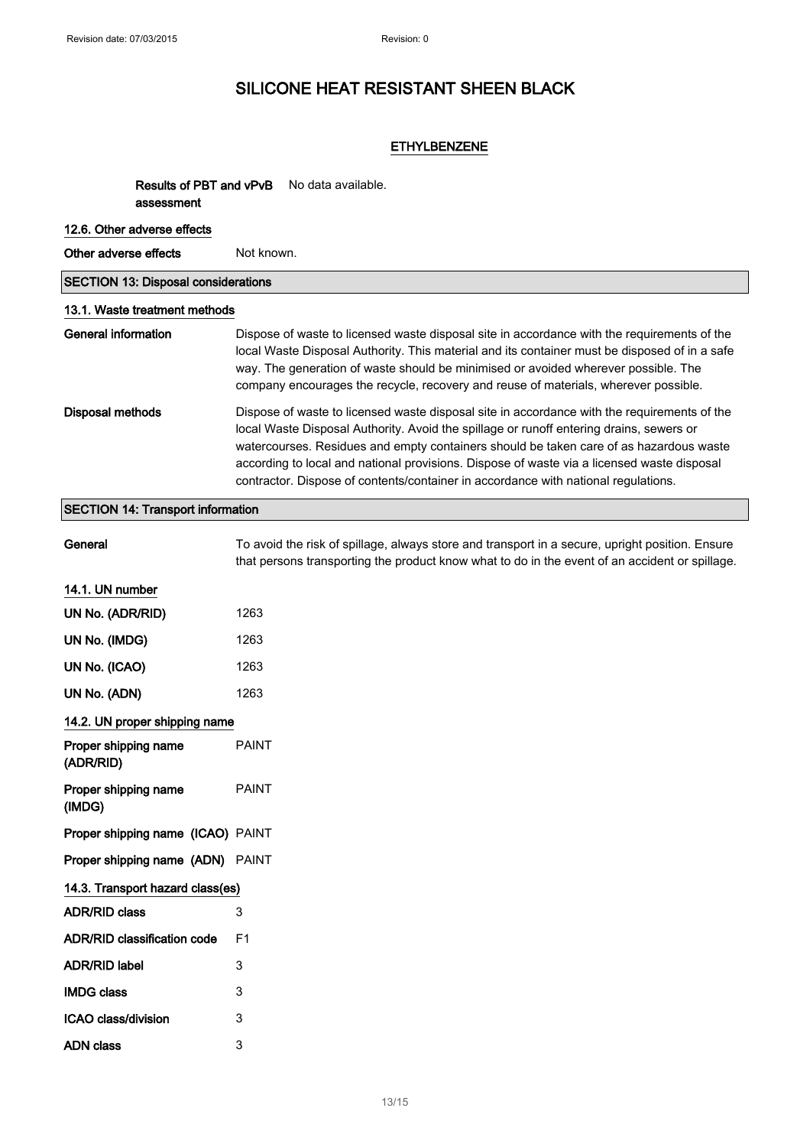ICAO class/division 3 ADN class 3

# SILICONE HEAT RESISTANT SHEEN BLACK

### ETHYLBENZENE

Results of PBT and vPvB No data available. assessment

| 12.6. Other adverse effects                |                                                                                                                                                                                                                                                                                                                                                                                                                                                                      |  |
|--------------------------------------------|----------------------------------------------------------------------------------------------------------------------------------------------------------------------------------------------------------------------------------------------------------------------------------------------------------------------------------------------------------------------------------------------------------------------------------------------------------------------|--|
| Other adverse effects                      | Not known.                                                                                                                                                                                                                                                                                                                                                                                                                                                           |  |
| <b>SECTION 13: Disposal considerations</b> |                                                                                                                                                                                                                                                                                                                                                                                                                                                                      |  |
| 13.1. Waste treatment methods              |                                                                                                                                                                                                                                                                                                                                                                                                                                                                      |  |
| <b>General information</b>                 | Dispose of waste to licensed waste disposal site in accordance with the requirements of the<br>local Waste Disposal Authority. This material and its container must be disposed of in a safe<br>way. The generation of waste should be minimised or avoided wherever possible. The<br>company encourages the recycle, recovery and reuse of materials, wherever possible.                                                                                            |  |
| <b>Disposal methods</b>                    | Dispose of waste to licensed waste disposal site in accordance with the requirements of the<br>local Waste Disposal Authority. Avoid the spillage or runoff entering drains, sewers or<br>watercourses. Residues and empty containers should be taken care of as hazardous waste<br>according to local and national provisions. Dispose of waste via a licensed waste disposal<br>contractor. Dispose of contents/container in accordance with national regulations. |  |
| <b>SECTION 14: Transport information</b>   |                                                                                                                                                                                                                                                                                                                                                                                                                                                                      |  |
| General                                    | To avoid the risk of spillage, always store and transport in a secure, upright position. Ensure<br>that persons transporting the product know what to do in the event of an accident or spillage.                                                                                                                                                                                                                                                                    |  |
| 14.1. UN number                            |                                                                                                                                                                                                                                                                                                                                                                                                                                                                      |  |
| UN No. (ADR/RID)                           | 1263                                                                                                                                                                                                                                                                                                                                                                                                                                                                 |  |
| UN No. (IMDG)                              | 1263                                                                                                                                                                                                                                                                                                                                                                                                                                                                 |  |
| UN No. (ICAO)                              | 1263                                                                                                                                                                                                                                                                                                                                                                                                                                                                 |  |
| UN No. (ADN)                               | 1263                                                                                                                                                                                                                                                                                                                                                                                                                                                                 |  |
| 14.2. UN proper shipping name              |                                                                                                                                                                                                                                                                                                                                                                                                                                                                      |  |
| Proper shipping name<br>(ADR/RID)          | <b>PAINT</b>                                                                                                                                                                                                                                                                                                                                                                                                                                                         |  |
| Proper shipping name<br>(IMDG)             | <b>PAINT</b>                                                                                                                                                                                                                                                                                                                                                                                                                                                         |  |
| Proper shipping name (ICAO) PAINT          |                                                                                                                                                                                                                                                                                                                                                                                                                                                                      |  |
| Proper shipping name (ADN) PAINT           |                                                                                                                                                                                                                                                                                                                                                                                                                                                                      |  |
| 14.3. Transport hazard class(es)           |                                                                                                                                                                                                                                                                                                                                                                                                                                                                      |  |
| <b>ADR/RID class</b>                       | 3                                                                                                                                                                                                                                                                                                                                                                                                                                                                    |  |
| <b>ADR/RID classification code</b>         | F1                                                                                                                                                                                                                                                                                                                                                                                                                                                                   |  |
| <b>ADR/RID label</b>                       | 3                                                                                                                                                                                                                                                                                                                                                                                                                                                                    |  |
| <b>IMDG class</b>                          | 3                                                                                                                                                                                                                                                                                                                                                                                                                                                                    |  |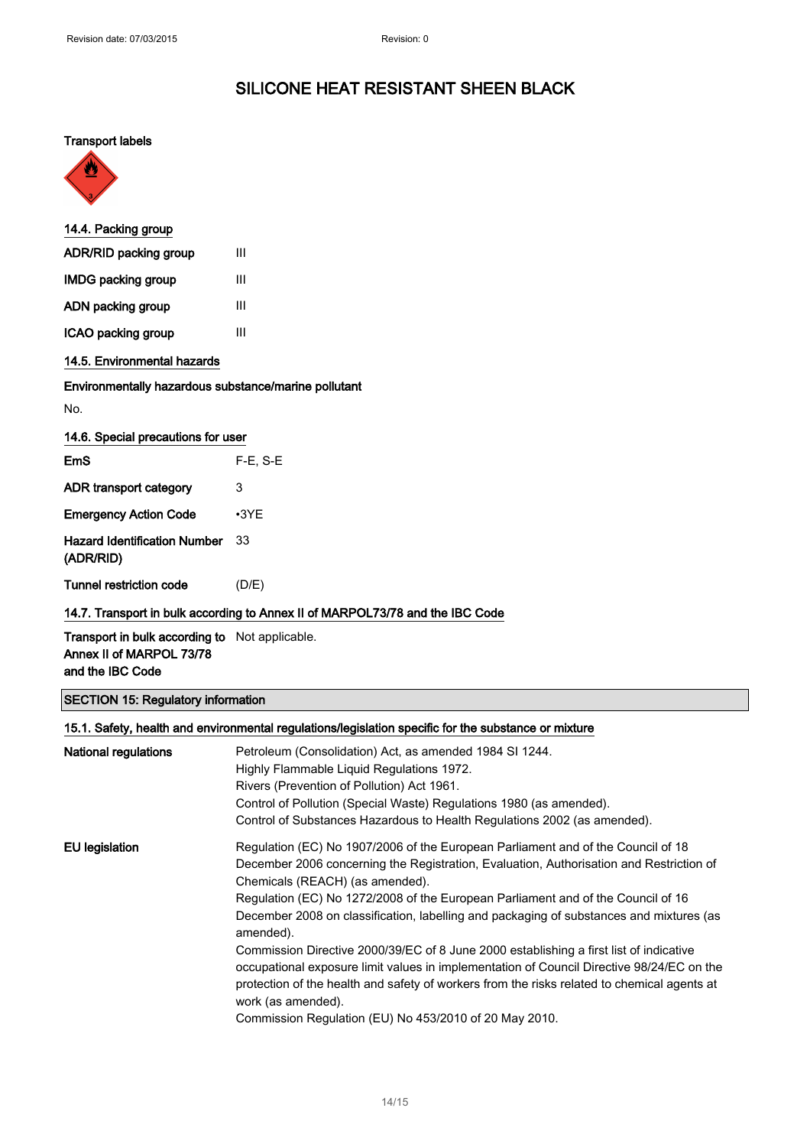### Transport labels



| 14.4. Packing group             |   |  |
|---------------------------------|---|--|
| <b>ADR/RID packing group</b>    | Ш |  |
| <b>IMDG packing group</b>       | Ш |  |
| ADN packing group               | Ш |  |
| ICAO packing group              | Ш |  |
| d d. E. Enclose costal bassed a |   |  |

### 14.5. Environmental hazards

### Environmentally hazardous substance/marine pollutant

No.

| 14.6. Special precautions for user |  |  |  |
|------------------------------------|--|--|--|
|------------------------------------|--|--|--|

| <b>EmS</b>                                       | $F-E. S-E$  |
|--------------------------------------------------|-------------|
| ADR transport category                           | 3           |
| <b>Emergency Action Code</b>                     | $\cdot$ 3YE |
| <b>Hazard Identification Number</b><br>(ADR/RID) | 33          |
| Tunnel restriction code                          | (D/E)       |

### 14.7. Transport in bulk according to Annex II of MARPOL73/78 and the IBC Code

Transport in bulk according to Not applicable. Annex II of MARPOL 73/78 and the IBC Code

### SECTION 15: Regulatory information

|                      | 15.1. Safety, health and environmental regulations/legislation specific for the substance or mixture                                                                                                                                                                                                     |
|----------------------|----------------------------------------------------------------------------------------------------------------------------------------------------------------------------------------------------------------------------------------------------------------------------------------------------------|
| National regulations | Petroleum (Consolidation) Act, as amended 1984 SI 1244.                                                                                                                                                                                                                                                  |
|                      | Highly Flammable Liquid Regulations 1972.                                                                                                                                                                                                                                                                |
|                      | Rivers (Prevention of Pollution) Act 1961.                                                                                                                                                                                                                                                               |
|                      | Control of Pollution (Special Waste) Regulations 1980 (as amended).                                                                                                                                                                                                                                      |
|                      | Control of Substances Hazardous to Health Regulations 2002 (as amended).                                                                                                                                                                                                                                 |
| EU legislation       | Regulation (EC) No 1907/2006 of the European Parliament and of the Council of 18                                                                                                                                                                                                                         |
|                      | December 2006 concerning the Registration, Evaluation, Authorisation and Restriction of                                                                                                                                                                                                                  |
|                      | Chemicals (REACH) (as amended).                                                                                                                                                                                                                                                                          |
|                      | Regulation (EC) No 1272/2008 of the European Parliament and of the Council of 16                                                                                                                                                                                                                         |
|                      | December 2008 on classification, labelling and packaging of substances and mixtures (as<br>amended).                                                                                                                                                                                                     |
|                      | Commission Directive 2000/39/EC of 8 June 2000 establishing a first list of indicative<br>occupational exposure limit values in implementation of Council Directive 98/24/EC on the<br>protection of the health and safety of workers from the risks related to chemical agents at<br>work (as amended). |
|                      | Commission Regulation (EU) No 453/2010 of 20 May 2010.                                                                                                                                                                                                                                                   |